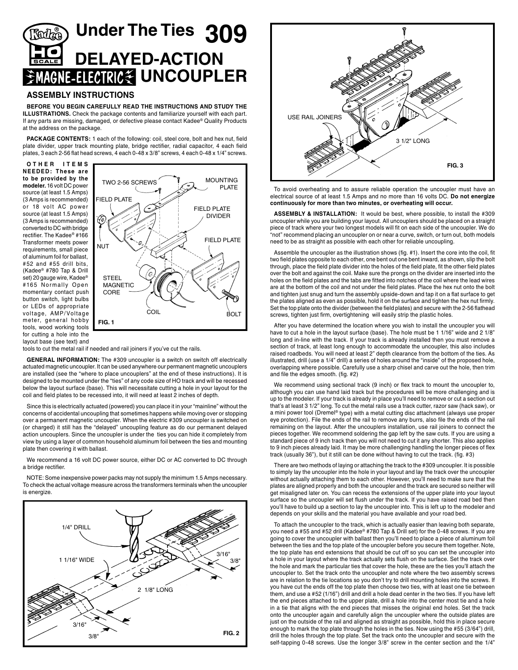## **Under The Ties 309 DELAYED-ACTION UNCOUPLER**

## **ASSEMBLY INSTRUCTIONS**

**BEFORE YOU BEGIN CAREFULLY READ THE INSTRUCTIONS AND STUDY THE ILLUSTRATIONS.** Check the package contents and familiarize yourself with each part. If any parts are missing, damaged, or defective please contact Kadee® Quality Products at the address on the package.

**PACKAGE CONTENTS:** 1 each of the following: coil, steel core, bolt and hex nut, field plate divider, upper track mounting plate, bridge rectifier, radial capacitor, 4 each field plates, 3 each 2-56 flat head screws, 4 each 0-48 x 3/8" screws, 4 each 0-48 x 1/4" screws.

**O T H E R I T E M S NEEDED : These are to be provided by the modeler.** 16 volt DC power source (at least 1.5 Amps) (3 Amps is recommended) or 18 volt AC power source (at least 1.5 Amps) (3 Amps is recommended) converted to DC with bridge rectifier. The Kadee® #166 Transformer meets power requirements, small piece of aluminum foil for ballast, #52 and #55 drill bits, (Kadee® #780 Tap & Drill set) 20 gauge wire, Kadee® #165 Normally Open momentary contact push button switch, light bulbs or LEDs of appropriate voltage, AMP/ Voltage meter, general hobby tools, wood working tools for cutting a hole into the



layout base (see text) and

tools to cut the metal rail if needed and rail joiners if you've cut the rails.

**GENERAL INFORMATION:** The #309 uncoupler is a switch on switch off electrically actuated magnetic uncoupler. It can be used anywhere our permanent magnetic uncouplers are installed (see the "where to place uncouplers" at the end of these instructions). It is designed to be mounted under the "ties" of any code size of HO track and will be recessed below the layout surface (base). This will necessitate cutting a hole in your layout for the coil and field plates to be recessed into, it will need at least 2 inches of depth.

Since this is electrically actuated (powered) you can place it in your "mainline" without the concerns of accidental uncoupling that sometimes happens while moving over or stopping over a permanent magnetic uncoupler. When the electric #309 uncoupler is switched on (or charged) it still has the "delayed" uncoupling feature as do our permanent delayed action uncouplers. Since the uncoupler is under the ties you can hide it completely from view by using a layer of common household aluminum foil between the ties and mounting plate then covering it with ballast.

We recommend a 16 volt DC power source, either DC or AC converted to DC through a bridge rectifier.

NOTE: Some inexpensive power packs may not supply the minimum 1.5 Amps necessary. To check the actual voltage measure across the transformers terminals when the uncoupler is energize.





To avoid overheating and to assure reliable operation the uncoupler must have an electrical source of at least 1.5 Amps and no more than 16 volts DC. **Do not energize continuously for more than two minutes, or overheating will occur.** 

**ASSEMBLY & INSTALLATION:** It would be best, where possible, to install the #309 uncoupler while you are building your layout. All uncouplers should be placed on a straight piece of track where your two longest models will fit on each side of the uncoupler. We do "not" recommend placing an uncoupler on or near a curve, switch, or turn out, both models need to be as straight as possible with each other for reliable uncoupling.

Assemble the uncoupler as the illustration shows (fig. #1). Insert the core into the coil, fit two field plates opposite to each other, one bent out one bent inward, as shown, slip the bolt through, place the field plate divider into the holes of the field plate, fit the other field plates over the bolt and against the coil. Make sure the prongs on the divider are inserted into the holes on the field plates and the tabs are fitted into notches of the coil where the lead wires are at the bottom of the coil and not under the field plates. Place the hex nut onto the bolt and tighten just snug and turn the assembly upside-down and tap it on a flat surface to get the plates aligned as even as possible, hold it on the surface and tighten the hex nut firmly. Set the top plate onto the divider (between the field plates) and secure with the 2-56 flathead screws, tighten just firm, overtightening will easily strip the plastic holes.

After you have determined the location where you wish to install the uncoupler you will have to cut a hole in the layout surface (base). The hole must be 1 1/16" wide and 2 1/8" long and in-line with the track. If your track is already installed then you must remove a section of track, at least long enough to accommodate the uncoupler, this also includes raised roadbeds. You will need at least 2" depth clearance from the bottom of the ties. As illustrated, drill (use a 1/4" drill) a series of holes around the "inside" of the proposed hole, overlapping where possible. Carefully use a sharp chisel and carve out the hole, then trim and file the edges smooth. (fig. #2)

We recommend using sectional track (9 inch) or flex track to mount the uncoupler to, although you can use hand laid track but the procedures will be more challenging and is up to the modeler. If your track is already in place you'll need to remove or cut a section out that's at least 3 1/2" long. To cut the metal rails use a track cutter, razor saw (hack saw), or a mini power tool (Dremel® type) with a metal cutting disc attachment (always use proper eye protection). File the ends of the rail to remove any burrs, also file the ends of the rail remaining on the layout. After the uncouplers installation, use rail joiners to connect the pieces together. We recommend soldering the gap left by the saw cuts. If you are using a standard piece of 9 inch track then you will not need to cut it any shorter. This also applies to 9 inch pieces already laid. It may be more challenging handling the longer pieces of flex track (usually 36"), but it still can be done without having to cut the track. (fig. #3)

There are two methods of laying or attaching the track to the #309 uncoupler. It is possible to simply lay the uncoupler into the hole in your layout and lay the track over the uncoupler without actually attaching them to each other. However, you'll need to make sure that the plates are aligned properly and both the uncoupler and the track are secured so neither will get misaligned later on. You can recess the extensions of the upper plate into your layout surface so the uncoupler will set flush under the track. If you have raised road bed then you'll have to build up a section to lay the uncoupler into. This is left up to the modeler and depends on your skills and the material you have available and your road bed.

To attach the uncoupler to the track, which is actually easier than leaving both separate, you need a #55 and #52 drill (Kadee® #780 Tap & Drill set) for the 0-48 screws. If you are going to cover the uncoupler with ballast then you'll need to place a piece of aluminum foil between the ties and the top plate of the uncoupler before you secure them together. Note, the top plate has end extensions that should be cut off so you can set the uncoupler into a hole in your layout where the track actually sets flush on the surface. Set the track over the hole and mark the particular ties that cover the hole, these are the ties you'll attach the uncoupler to. Set the track onto the uncoupler and note where the two assembly screws are in relation to the tie locations so you don't try to drill mounting holes into the screws. If you have cut the ends off the top plate then choose two ties, with at least one tie between them, and use a #52 (1/16") drill and drill a hole dead center in the two ties. If you have left the end pieces attached to the upper plate, drill a hole into the center most tie and a hole in a tie that aligns with the end pieces that misses the original end holes. Set the track onto the uncoupler again and carefully align the uncoupler where the outside plates are just on the outside of the rail and aligned as straight as possible, hold this in place secure enough to mark the top plate through the holes in the ties. Now using the #55 (3/64") drill, drill the holes through the top plate. Set the track onto the uncoupler and secure with the self-tapping 0-48 screws. Use the longer 3/8" screw in the center section and the 1/4"